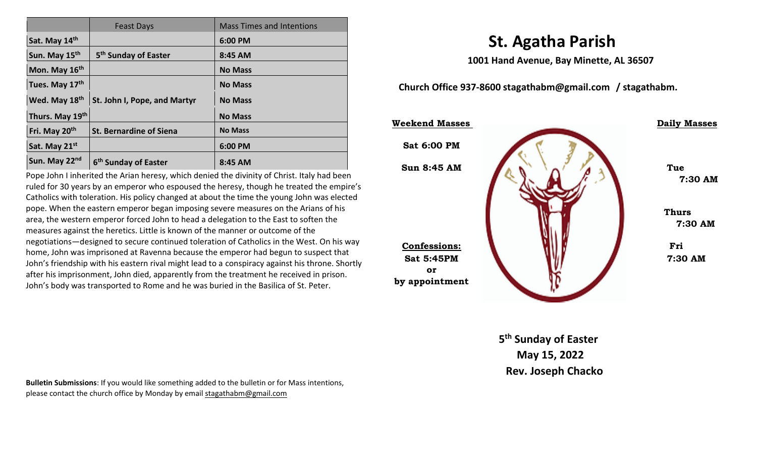|                           | <b>Feast Days</b>                | <b>Mass Times and Intentions</b> |
|---------------------------|----------------------------------|----------------------------------|
| Sat. May 14th             |                                  | 6:00 PM                          |
| Sun. May 15th             | 5 <sup>th</sup> Sunday of Easter | 8:45 AM                          |
| Mon. May 16th             |                                  | <b>No Mass</b>                   |
| Tues. May 17th            |                                  | <b>No Mass</b>                   |
| Wed. May 18th             | St. John I, Pope, and Martyr     | <b>No Mass</b>                   |
| Thurs. May 19th           |                                  | <b>No Mass</b>                   |
| Fri. May 20 <sup>th</sup> | <b>St. Bernardine of Siena</b>   | <b>No Mass</b>                   |
| Sat. May 21st             |                                  | 6:00 PM                          |
| Sun. May 22 <sup>nd</sup> | 6 <sup>th</sup> Sunday of Easter | 8:45 AM                          |

Pope John I inherited the Arian heresy, which denied the divinity of Christ. Italy had been ruled for 30 years by an emperor who espoused the heresy, though he treated the empire's Catholics with toleration. His policy changed at about the time the young John was elected pope. When the eastern emperor began imposing severe measures on the Arians of his area, the western emperor forced John to head a delegation to the East to soften the measures against the heretics. Little is known of the manner or outcome of the negotiations—designed to secure continued toleration of Catholics in the West. On his way home, John was imprisoned at Ravenna because the emperor had begun to suspect that John's friendship with his eastern rival might lead to a conspiracy against his throne. Shortly after his imprisonment, John died, apparently from the treatment he received in prison. John's body was transported to Rome and he was buried in the Basilica of St. Peter.

 **St. Agatha Parish** 

 **1001 Hand Avenue, Bay Minette, AL 36507** 

 **Church Office 937-8600 stagathabm@gmail.com / stagathabm.** 



**5 5 5 th Sunday of Easter May 15, 2022 Rev. Joseph Chacko** 

**Bulletin Submissions**: If you would like something added to the bulletin or for Mass intentions, please contact the church office by Monday by email **stagathabm@gmail.com**<br>